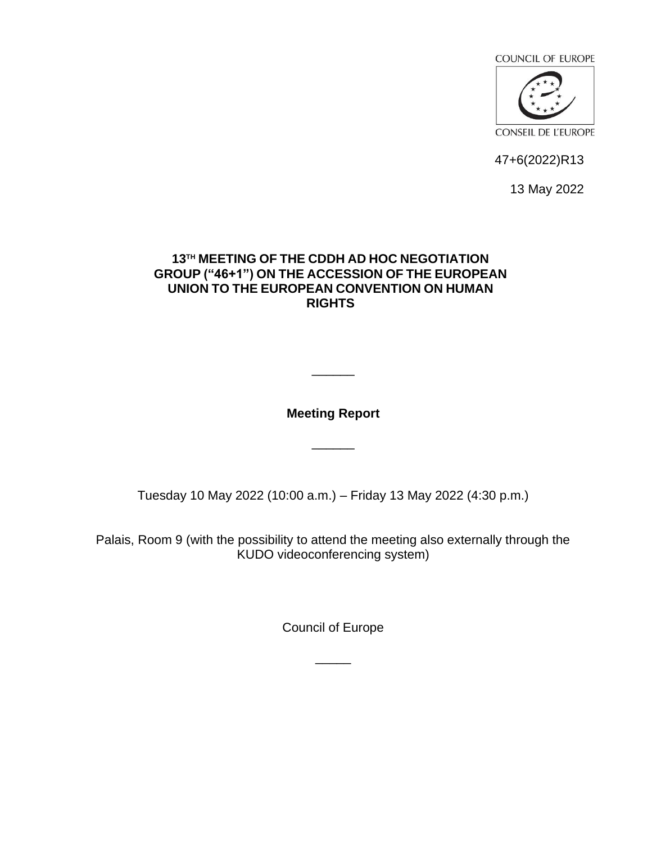

CONSEIL DE L'EUROPE

47+6(2022)R13

13 May 2022

# **13TH MEETING OF THE CDDH AD HOC NEGOTIATION GROUP ("46+1") ON THE ACCESSION OF THE EUROPEAN UNION TO THE EUROPEAN CONVENTION ON HUMAN RIGHTS**

**Meeting Report**

\_\_\_\_\_\_

\_\_\_\_\_\_

Tuesday 10 May 2022 (10:00 a.m.) – Friday 13 May 2022 (4:30 p.m.)

Palais, Room 9 (with the possibility to attend the meeting also externally through the KUDO videoconferencing system)

Council of Europe

 $\overline{\phantom{a}}$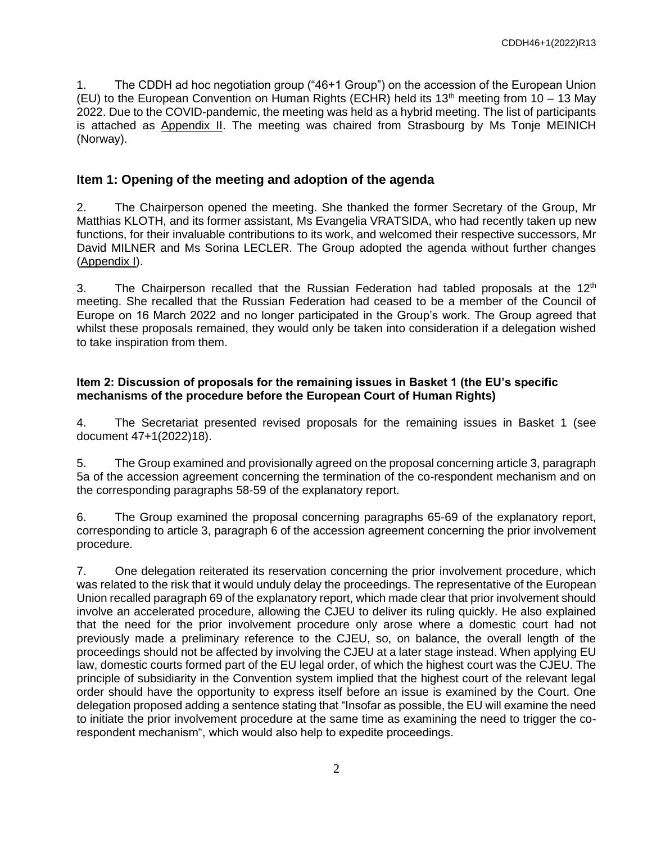1. The CDDH ad hoc negotiation group ("46+1 Group") on the accession of the European Union (EU) to the European Convention on Human Rights (ECHR) held its 13<sup>th</sup> meeting from 10 – 13 May 2022. Due to the COVID-pandemic, the meeting was held as a hybrid meeting. The list of participants is attached as Appendix II. The meeting was chaired from Strasbourg by Ms Tonje MEINICH (Norway).

# **Item 1: Opening of the meeting and adoption of the agenda**

2. The Chairperson opened the meeting. She thanked the former Secretary of the Group, Mr Matthias KLOTH, and its former assistant, Ms Evangelia VRATSIDA, who had recently taken up new functions, for their invaluable contributions to its work, and welcomed their respective successors, Mr David MILNER and Ms Sorina LECLER. The Group adopted the agenda without further changes (Appendix I).

3. The Chairperson recalled that the Russian Federation had tabled proposals at the  $12<sup>th</sup>$ meeting. She recalled that the Russian Federation had ceased to be a member of the Council of Europe on 16 March 2022 and no longer participated in the Group's work. The Group agreed that whilst these proposals remained, they would only be taken into consideration if a delegation wished to take inspiration from them.

## **Item 2: Discussion of proposals for the remaining issues in Basket 1 (the EU's specific mechanisms of the procedure before the European Court of Human Rights)**

4. The Secretariat presented revised proposals for the remaining issues in Basket 1 (see document 47+1(2022)18).

5. The Group examined and provisionally agreed on the proposal concerning article 3, paragraph 5a of the accession agreement concerning the termination of the co-respondent mechanism and on the corresponding paragraphs 58-59 of the explanatory report.

6. The Group examined the proposal concerning paragraphs 65-69 of the explanatory report, corresponding to article 3, paragraph 6 of the accession agreement concerning the prior involvement procedure.

7. One delegation reiterated its reservation concerning the prior involvement procedure, which was related to the risk that it would unduly delay the proceedings. The representative of the European Union recalled paragraph 69 of the explanatory report, which made clear that prior involvement should involve an accelerated procedure, allowing the CJEU to deliver its ruling quickly. He also explained that the need for the prior involvement procedure only arose where a domestic court had not previously made a preliminary reference to the CJEU, so, on balance, the overall length of the proceedings should not be affected by involving the CJEU at a later stage instead. When applying EU law, domestic courts formed part of the EU legal order, of which the highest court was the CJEU. The principle of subsidiarity in the Convention system implied that the highest court of the relevant legal order should have the opportunity to express itself before an issue is examined by the Court. One delegation proposed adding a sentence stating that "Insofar as possible, the EU will examine the need to initiate the prior involvement procedure at the same time as examining the need to trigger the corespondent mechanism", which would also help to expedite proceedings.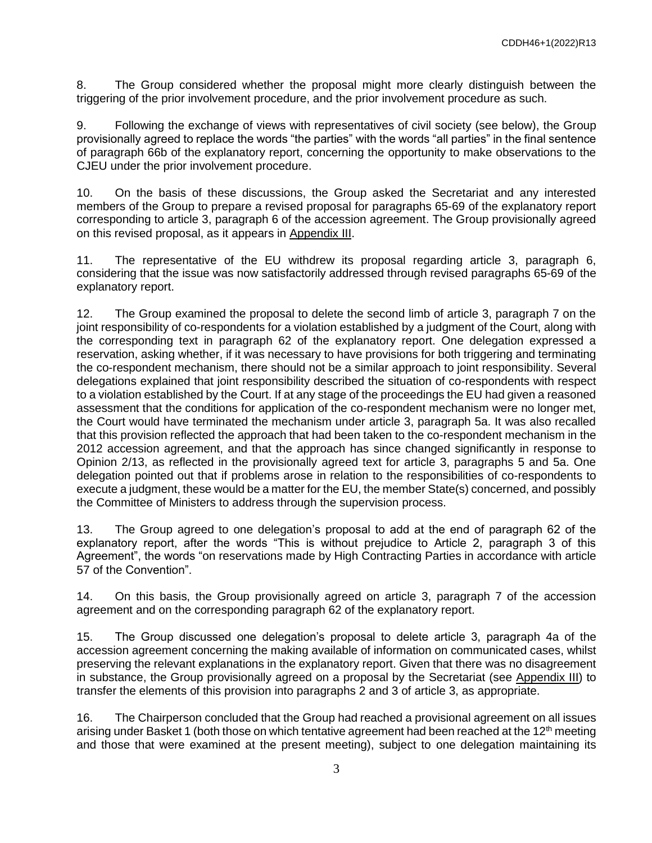8. The Group considered whether the proposal might more clearly distinguish between the triggering of the prior involvement procedure, and the prior involvement procedure as such.

9. Following the exchange of views with representatives of civil society (see below), the Group provisionally agreed to replace the words "the parties" with the words "all parties" in the final sentence of paragraph 66b of the explanatory report, concerning the opportunity to make observations to the CJEU under the prior involvement procedure.

10. On the basis of these discussions, the Group asked the Secretariat and any interested members of the Group to prepare a revised proposal for paragraphs 65-69 of the explanatory report corresponding to article 3, paragraph 6 of the accession agreement. The Group provisionally agreed on this revised proposal, as it appears in Appendix III.

11. The representative of the EU withdrew its proposal regarding article 3, paragraph 6, considering that the issue was now satisfactorily addressed through revised paragraphs 65-69 of the explanatory report.

12. The Group examined the proposal to delete the second limb of article 3, paragraph 7 on the joint responsibility of co-respondents for a violation established by a judgment of the Court, along with the corresponding text in paragraph 62 of the explanatory report. One delegation expressed a reservation, asking whether, if it was necessary to have provisions for both triggering and terminating the co-respondent mechanism, there should not be a similar approach to joint responsibility. Several delegations explained that joint responsibility described the situation of co-respondents with respect to a violation established by the Court. If at any stage of the proceedings the EU had given a reasoned assessment that the conditions for application of the co-respondent mechanism were no longer met, the Court would have terminated the mechanism under article 3, paragraph 5a. It was also recalled that this provision reflected the approach that had been taken to the co-respondent mechanism in the 2012 accession agreement, and that the approach has since changed significantly in response to Opinion 2/13, as reflected in the provisionally agreed text for article 3, paragraphs 5 and 5a. One delegation pointed out that if problems arose in relation to the responsibilities of co-respondents to execute a judgment, these would be a matter for the EU, the member State(s) concerned, and possibly the Committee of Ministers to address through the supervision process.

13. The Group agreed to one delegation's proposal to add at the end of paragraph 62 of the explanatory report, after the words "This is without prejudice to Article 2, paragraph 3 of this Agreement", the words "on reservations made by High Contracting Parties in accordance with article 57 of the Convention".

14. On this basis, the Group provisionally agreed on article 3, paragraph 7 of the accession agreement and on the corresponding paragraph 62 of the explanatory report.

15. The Group discussed one delegation's proposal to delete article 3, paragraph 4a of the accession agreement concerning the making available of information on communicated cases, whilst preserving the relevant explanations in the explanatory report. Given that there was no disagreement in substance, the Group provisionally agreed on a proposal by the Secretariat (see Appendix III) to transfer the elements of this provision into paragraphs 2 and 3 of article 3, as appropriate.

16. The Chairperson concluded that the Group had reached a provisional agreement on all issues arising under Basket 1 (both those on which tentative agreement had been reached at the 12<sup>th</sup> meeting and those that were examined at the present meeting), subject to one delegation maintaining its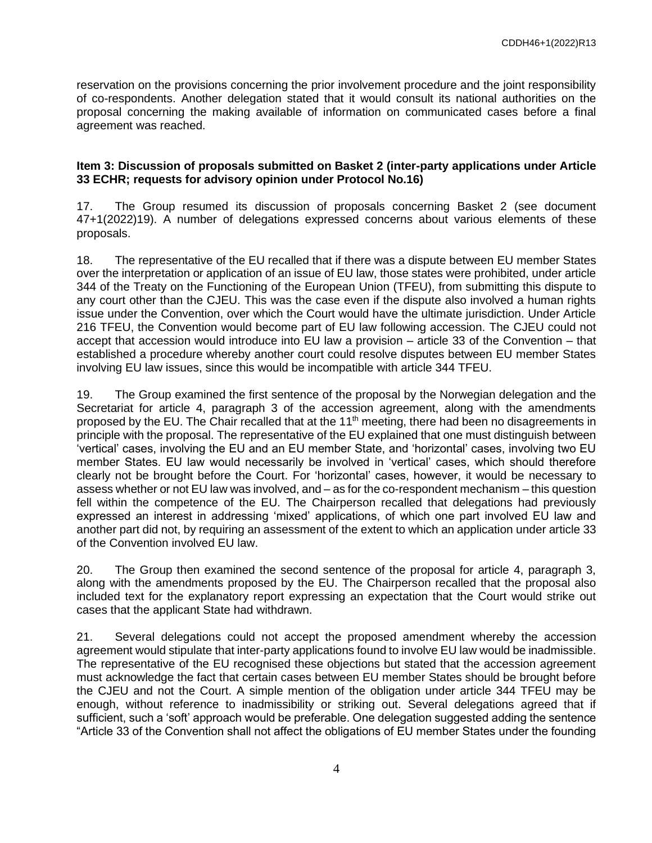reservation on the provisions concerning the prior involvement procedure and the joint responsibility of co-respondents. Another delegation stated that it would consult its national authorities on the proposal concerning the making available of information on communicated cases before a final agreement was reached.

### **Item 3: Discussion of proposals submitted on Basket 2 (inter-party applications under Article 33 ECHR; requests for advisory opinion under Protocol No.16)**

17. The Group resumed its discussion of proposals concerning Basket 2 (see document 47+1(2022)19). A number of delegations expressed concerns about various elements of these proposals.

18. The representative of the EU recalled that if there was a dispute between EU member States over the interpretation or application of an issue of EU law, those states were prohibited, under article 344 of the Treaty on the Functioning of the European Union (TFEU), from submitting this dispute to any court other than the CJEU. This was the case even if the dispute also involved a human rights issue under the Convention, over which the Court would have the ultimate jurisdiction. Under Article 216 TFEU, the Convention would become part of EU law following accession. The CJEU could not accept that accession would introduce into EU law a provision – article 33 of the Convention – that established a procedure whereby another court could resolve disputes between EU member States involving EU law issues, since this would be incompatible with article 344 TFEU.

19. The Group examined the first sentence of the proposal by the Norwegian delegation and the Secretariat for article 4, paragraph 3 of the accession agreement, along with the amendments proposed by the EU. The Chair recalled that at the 11<sup>th</sup> meeting, there had been no disagreements in principle with the proposal. The representative of the EU explained that one must distinguish between 'vertical' cases, involving the EU and an EU member State, and 'horizontal' cases, involving two EU member States. EU law would necessarily be involved in 'vertical' cases, which should therefore clearly not be brought before the Court. For 'horizontal' cases, however, it would be necessary to assess whether or not EU law was involved, and – as for the co-respondent mechanism – this question fell within the competence of the EU. The Chairperson recalled that delegations had previously expressed an interest in addressing 'mixed' applications, of which one part involved EU law and another part did not, by requiring an assessment of the extent to which an application under article 33 of the Convention involved EU law.

20. The Group then examined the second sentence of the proposal for article 4, paragraph 3, along with the amendments proposed by the EU. The Chairperson recalled that the proposal also included text for the explanatory report expressing an expectation that the Court would strike out cases that the applicant State had withdrawn.

21. Several delegations could not accept the proposed amendment whereby the accession agreement would stipulate that inter-party applications found to involve EU law would be inadmissible. The representative of the EU recognised these objections but stated that the accession agreement must acknowledge the fact that certain cases between EU member States should be brought before the CJEU and not the Court. A simple mention of the obligation under article 344 TFEU may be enough, without reference to inadmissibility or striking out. Several delegations agreed that if sufficient, such a 'soft' approach would be preferable. One delegation suggested adding the sentence "Article 33 of the Convention shall not affect the obligations of EU member States under the founding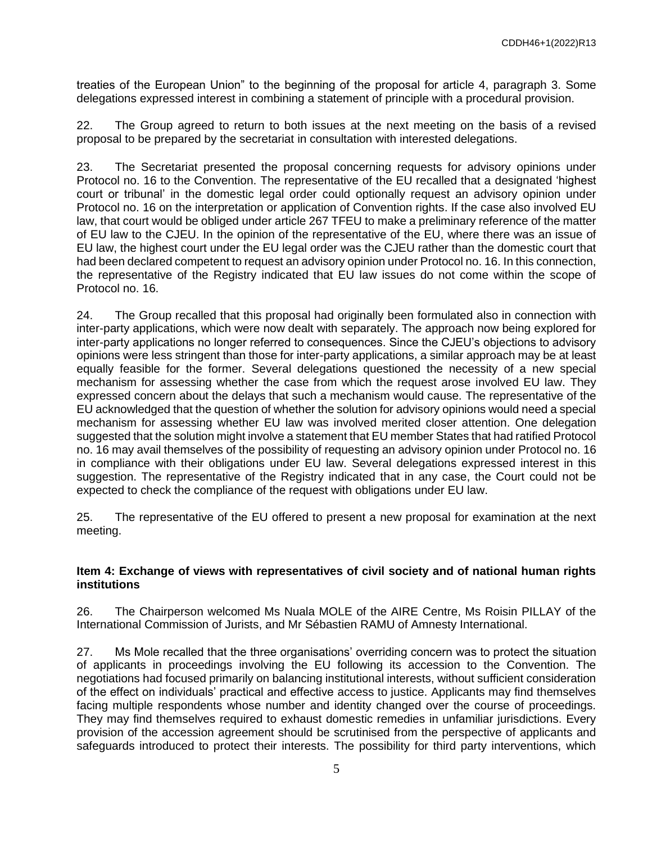treaties of the European Union" to the beginning of the proposal for article 4, paragraph 3. Some delegations expressed interest in combining a statement of principle with a procedural provision.

22. The Group agreed to return to both issues at the next meeting on the basis of a revised proposal to be prepared by the secretariat in consultation with interested delegations.

23. The Secretariat presented the proposal concerning requests for advisory opinions under Protocol no. 16 to the Convention. The representative of the EU recalled that a designated 'highest court or tribunal' in the domestic legal order could optionally request an advisory opinion under Protocol no. 16 on the interpretation or application of Convention rights. If the case also involved EU law, that court would be obliged under article 267 TFEU to make a preliminary reference of the matter of EU law to the CJEU. In the opinion of the representative of the EU, where there was an issue of EU law, the highest court under the EU legal order was the CJEU rather than the domestic court that had been declared competent to request an advisory opinion under Protocol no. 16. In this connection, the representative of the Registry indicated that EU law issues do not come within the scope of Protocol no. 16.

24. The Group recalled that this proposal had originally been formulated also in connection with inter-party applications, which were now dealt with separately. The approach now being explored for inter-party applications no longer referred to consequences. Since the CJEU's objections to advisory opinions were less stringent than those for inter-party applications, a similar approach may be at least equally feasible for the former. Several delegations questioned the necessity of a new special mechanism for assessing whether the case from which the request arose involved EU law. They expressed concern about the delays that such a mechanism would cause. The representative of the EU acknowledged that the question of whether the solution for advisory opinions would need a special mechanism for assessing whether EU law was involved merited closer attention. One delegation suggested that the solution might involve a statement that EU member States that had ratified Protocol no. 16 may avail themselves of the possibility of requesting an advisory opinion under Protocol no. 16 in compliance with their obligations under EU law. Several delegations expressed interest in this suggestion. The representative of the Registry indicated that in any case, the Court could not be expected to check the compliance of the request with obligations under EU law.

25. The representative of the EU offered to present a new proposal for examination at the next meeting.

### **Item 4: Exchange of views with representatives of civil society and of national human rights institutions**

26. The Chairperson welcomed Ms Nuala MOLE of the AIRE Centre, Ms Roisin PILLAY of the International Commission of Jurists, and Mr Sébastien RAMU of Amnesty International.

27. Ms Mole recalled that the three organisations' overriding concern was to protect the situation of applicants in proceedings involving the EU following its accession to the Convention. The negotiations had focused primarily on balancing institutional interests, without sufficient consideration of the effect on individuals' practical and effective access to justice. Applicants may find themselves facing multiple respondents whose number and identity changed over the course of proceedings. They may find themselves required to exhaust domestic remedies in unfamiliar jurisdictions. Every provision of the accession agreement should be scrutinised from the perspective of applicants and safeguards introduced to protect their interests. The possibility for third party interventions, which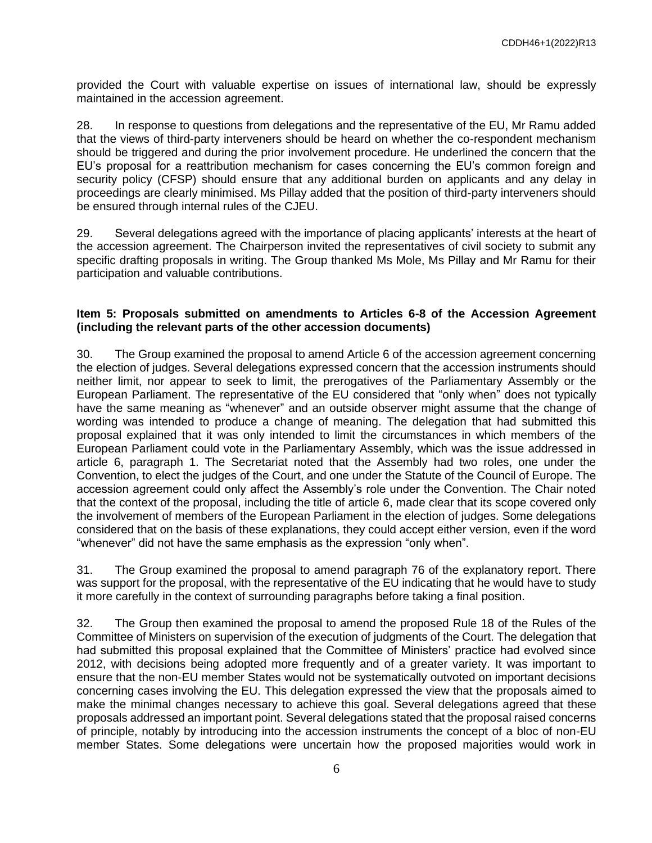provided the Court with valuable expertise on issues of international law, should be expressly maintained in the accession agreement.

28. In response to questions from delegations and the representative of the EU, Mr Ramu added that the views of third-party interveners should be heard on whether the co-respondent mechanism should be triggered and during the prior involvement procedure. He underlined the concern that the EU's proposal for a reattribution mechanism for cases concerning the EU's common foreign and security policy (CFSP) should ensure that any additional burden on applicants and any delay in proceedings are clearly minimised. Ms Pillay added that the position of third-party interveners should be ensured through internal rules of the CJEU.

29. Several delegations agreed with the importance of placing applicants' interests at the heart of the accession agreement. The Chairperson invited the representatives of civil society to submit any specific drafting proposals in writing. The Group thanked Ms Mole, Ms Pillay and Mr Ramu for their participation and valuable contributions.

### **Item 5: Proposals submitted on amendments to Articles 6-8 of the Accession Agreement (including the relevant parts of the other accession documents)**

30. The Group examined the proposal to amend Article 6 of the accession agreement concerning the election of judges. Several delegations expressed concern that the accession instruments should neither limit, nor appear to seek to limit, the prerogatives of the Parliamentary Assembly or the European Parliament. The representative of the EU considered that "only when" does not typically have the same meaning as "whenever" and an outside observer might assume that the change of wording was intended to produce a change of meaning. The delegation that had submitted this proposal explained that it was only intended to limit the circumstances in which members of the European Parliament could vote in the Parliamentary Assembly, which was the issue addressed in article 6, paragraph 1. The Secretariat noted that the Assembly had two roles, one under the Convention, to elect the judges of the Court, and one under the Statute of the Council of Europe. The accession agreement could only affect the Assembly's role under the Convention. The Chair noted that the context of the proposal, including the title of article 6, made clear that its scope covered only the involvement of members of the European Parliament in the election of judges. Some delegations considered that on the basis of these explanations, they could accept either version, even if the word "whenever" did not have the same emphasis as the expression "only when".

31. The Group examined the proposal to amend paragraph 76 of the explanatory report. There was support for the proposal, with the representative of the EU indicating that he would have to study it more carefully in the context of surrounding paragraphs before taking a final position.

32. The Group then examined the proposal to amend the proposed Rule 18 of the Rules of the Committee of Ministers on supervision of the execution of judgments of the Court. The delegation that had submitted this proposal explained that the Committee of Ministers' practice had evolved since 2012, with decisions being adopted more frequently and of a greater variety. It was important to ensure that the non-EU member States would not be systematically outvoted on important decisions concerning cases involving the EU. This delegation expressed the view that the proposals aimed to make the minimal changes necessary to achieve this goal. Several delegations agreed that these proposals addressed an important point. Several delegations stated that the proposal raised concerns of principle, notably by introducing into the accession instruments the concept of a bloc of non-EU member States. Some delegations were uncertain how the proposed majorities would work in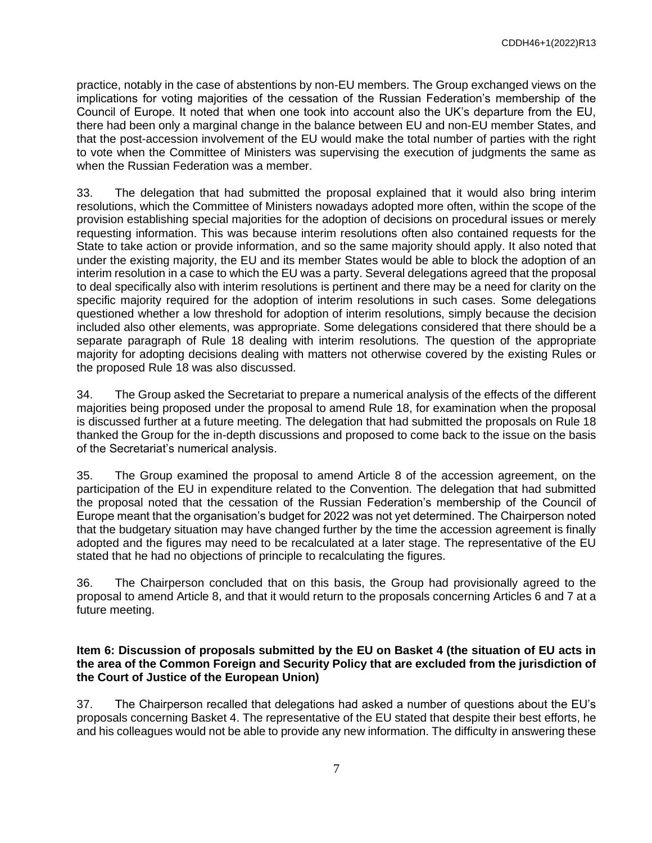practice, notably in the case of abstentions by non-EU members. The Group exchanged views on the implications for voting majorities of the cessation of the Russian Federation's membership of the Council of Europe. It noted that when one took into account also the UK's departure from the EU, there had been only a marginal change in the balance between EU and non-EU member States, and that the post-accession involvement of the EU would make the total number of parties with the right to vote when the Committee of Ministers was supervising the execution of judgments the same as when the Russian Federation was a member.

33. The delegation that had submitted the proposal explained that it would also bring interim resolutions, which the Committee of Ministers nowadays adopted more often, within the scope of the provision establishing special majorities for the adoption of decisions on procedural issues or merely requesting information. This was because interim resolutions often also contained requests for the State to take action or provide information, and so the same majority should apply. It also noted that under the existing majority, the EU and its member States would be able to block the adoption of an interim resolution in a case to which the EU was a party. Several delegations agreed that the proposal to deal specifically also with interim resolutions is pertinent and there may be a need for clarity on the specific majority required for the adoption of interim resolutions in such cases. Some delegations questioned whether a low threshold for adoption of interim resolutions, simply because the decision included also other elements, was appropriate. Some delegations considered that there should be a separate paragraph of Rule 18 dealing with interim resolutions. The question of the appropriate majority for adopting decisions dealing with matters not otherwise covered by the existing Rules or the proposed Rule 18 was also discussed.

34. The Group asked the Secretariat to prepare a numerical analysis of the effects of the different majorities being proposed under the proposal to amend Rule 18, for examination when the proposal is discussed further at a future meeting. The delegation that had submitted the proposals on Rule 18 thanked the Group for the in-depth discussions and proposed to come back to the issue on the basis of the Secretariat's numerical analysis.

35. The Group examined the proposal to amend Article 8 of the accession agreement, on the participation of the EU in expenditure related to the Convention. The delegation that had submitted the proposal noted that the cessation of the Russian Federation's membership of the Council of Europe meant that the organisation's budget for 2022 was not yet determined. The Chairperson noted that the budgetary situation may have changed further by the time the accession agreement is finally adopted and the figures may need to be recalculated at a later stage. The representative of the EU stated that he had no objections of principle to recalculating the figures.

36. The Chairperson concluded that on this basis, the Group had provisionally agreed to the proposal to amend Article 8, and that it would return to the proposals concerning Articles 6 and 7 at a future meeting.

### **Item 6: Discussion of proposals submitted by the EU on Basket 4 (the situation of EU acts in the area of the Common Foreign and Security Policy that are excluded from the jurisdiction of the Court of Justice of the European Union)**

37. The Chairperson recalled that delegations had asked a number of questions about the EU's proposals concerning Basket 4. The representative of the EU stated that despite their best efforts, he and his colleagues would not be able to provide any new information. The difficulty in answering these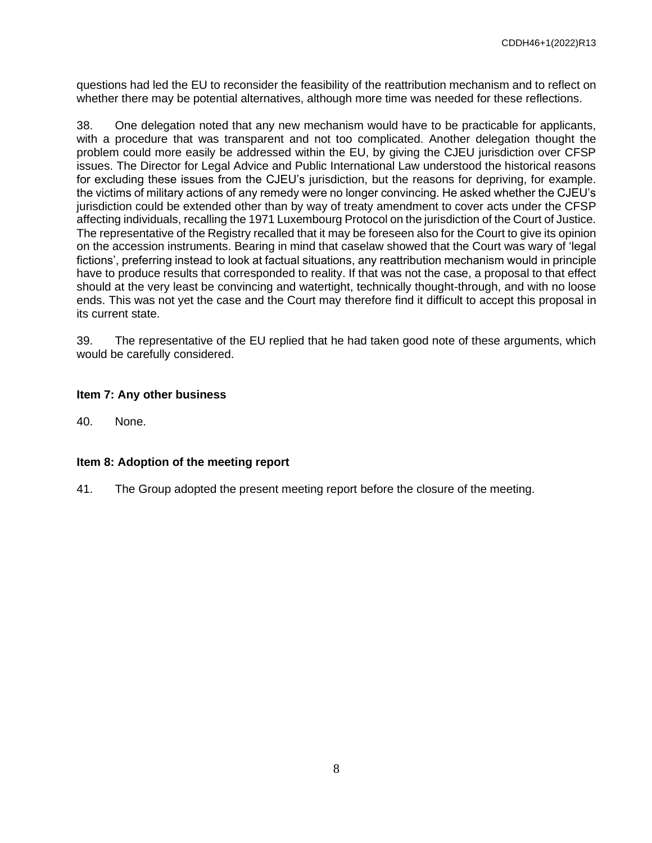questions had led the EU to reconsider the feasibility of the reattribution mechanism and to reflect on whether there may be potential alternatives, although more time was needed for these reflections.

38. One delegation noted that any new mechanism would have to be practicable for applicants, with a procedure that was transparent and not too complicated. Another delegation thought the problem could more easily be addressed within the EU, by giving the CJEU jurisdiction over CFSP issues. The Director for Legal Advice and Public International Law understood the historical reasons for excluding these issues from the CJEU's jurisdiction, but the reasons for depriving, for example. the victims of military actions of any remedy were no longer convincing. He asked whether the CJEU's jurisdiction could be extended other than by way of treaty amendment to cover acts under the CFSP affecting individuals, recalling the 1971 Luxembourg Protocol on the jurisdiction of the Court of Justice. The representative of the Registry recalled that it may be foreseen also for the Court to give its opinion on the accession instruments. Bearing in mind that caselaw showed that the Court was wary of 'legal fictions', preferring instead to look at factual situations, any reattribution mechanism would in principle have to produce results that corresponded to reality. If that was not the case, a proposal to that effect should at the very least be convincing and watertight, technically thought-through, and with no loose ends. This was not yet the case and the Court may therefore find it difficult to accept this proposal in its current state.

39. The representative of the EU replied that he had taken good note of these arguments, which would be carefully considered.

## **Item 7: Any other business**

40. None.

#### **Item 8: Adoption of the meeting report**

41. The Group adopted the present meeting report before the closure of the meeting.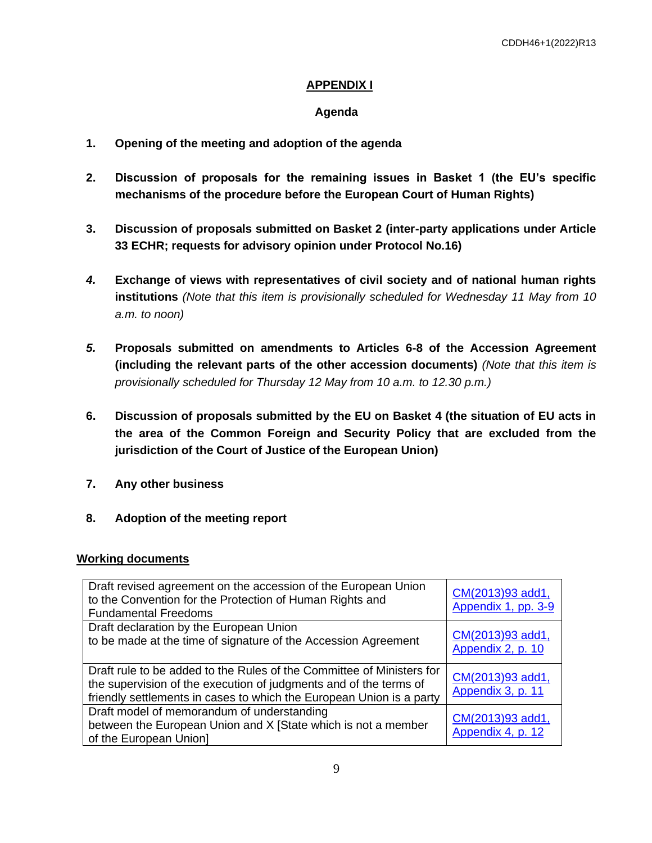### **APPENDIX I**

## **Agenda**

- **1. Opening of the meeting and adoption of the agenda**
- **2. Discussion of proposals for the remaining issues in Basket 1 (the EU's specific mechanisms of the procedure before the European Court of Human Rights)**
- **3. Discussion of proposals submitted on Basket 2 (inter-party applications under Article 33 ECHR; requests for advisory opinion under Protocol No.16)**
- *4.* **Exchange of views with representatives of civil society and of national human rights institutions** *(Note that this item is provisionally scheduled for Wednesday 11 May from 10 a.m. to noon)*
- *5.* **Proposals submitted on amendments to Articles 6-8 of the Accession Agreement (including the relevant parts of the other accession documents)** *(Note that this item is provisionally scheduled for Thursday 12 May from 10 a.m. to 12.30 p.m.)*
- **6. Discussion of proposals submitted by the EU on Basket 4 (the situation of EU acts in the area of the Common Foreign and Security Policy that are excluded from the jurisdiction of the Court of Justice of the European Union)**
- **7. Any other business**
- **8. Adoption of the meeting report**

## **Working documents**

| Draft revised agreement on the accession of the European Union<br>to the Convention for the Protection of Human Rights and<br><b>Fundamental Freedoms</b>                                                          | CM(2013)93 add1,<br>Appendix 1, pp. 3-9 |
|--------------------------------------------------------------------------------------------------------------------------------------------------------------------------------------------------------------------|-----------------------------------------|
| Draft declaration by the European Union<br>to be made at the time of signature of the Accession Agreement                                                                                                          | CM(2013)93 add1,<br>Appendix 2, p. 10   |
| Draft rule to be added to the Rules of the Committee of Ministers for<br>the supervision of the execution of judgments and of the terms of<br>friendly settlements in cases to which the European Union is a party | CM(2013)93 add1,<br>Appendix 3, p. 11   |
| Draft model of memorandum of understanding<br>between the European Union and X [State which is not a member<br>of the European Union]                                                                              | CM(2013)93 add1,<br>Appendix 4, p. 12   |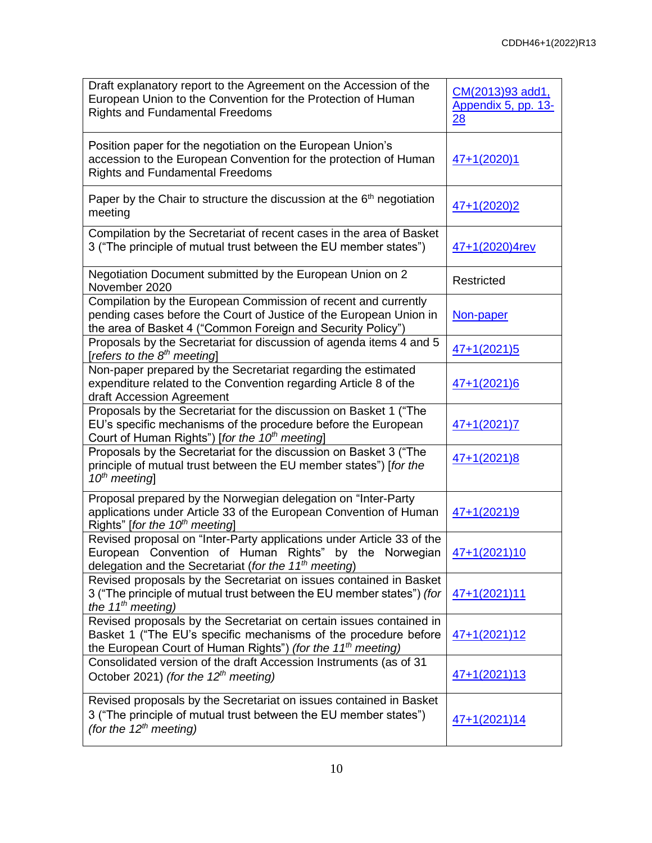| Draft explanatory report to the Agreement on the Accession of the<br>European Union to the Convention for the Protection of Human<br><b>Rights and Fundamental Freedoms</b>                                       | CM(2013)93 add1,<br>Appendix 5, pp. 13-<br>28 |
|-------------------------------------------------------------------------------------------------------------------------------------------------------------------------------------------------------------------|-----------------------------------------------|
| Position paper for the negotiation on the European Union's<br>accession to the European Convention for the protection of Human<br><b>Rights and Fundamental Freedoms</b>                                          | $47+1(2020)1$                                 |
| Paper by the Chair to structure the discussion at the 6 <sup>th</sup> negotiation<br>meeting                                                                                                                      | $47+1(2020)2$                                 |
| Compilation by the Secretariat of recent cases in the area of Basket<br>3 ("The principle of mutual trust between the EU member states")                                                                          | 47+1(2020)4rev                                |
| Negotiation Document submitted by the European Union on 2<br>November 2020                                                                                                                                        | Restricted                                    |
| Compilation by the European Commission of recent and currently<br>pending cases before the Court of Justice of the European Union in<br>the area of Basket 4 ("Common Foreign and Security Policy")               | Non-paper                                     |
| Proposals by the Secretariat for discussion of agenda items 4 and 5<br>[refers to the $8th$ meeting]                                                                                                              | $47+1(2021)5$                                 |
| Non-paper prepared by the Secretariat regarding the estimated<br>expenditure related to the Convention regarding Article 8 of the<br>draft Accession Agreement                                                    | $47+1(2021)6$                                 |
| Proposals by the Secretariat for the discussion on Basket 1 ("The<br>EU's specific mechanisms of the procedure before the European<br>Court of Human Rights") [for the 10 <sup>th</sup> meeting]                  | $47+1(2021)7$                                 |
| Proposals by the Secretariat for the discussion on Basket 3 ("The<br>principle of mutual trust between the EU member states") [for the<br>10 <sup>th</sup> meeting]                                               | $47+1(2021)8$                                 |
| Proposal prepared by the Norwegian delegation on "Inter-Party<br>applications under Article 33 of the European Convention of Human<br>Rights" [for the $10^{th}$ meeting]                                         | 47+1(2021)9                                   |
| Revised proposal on "Inter-Party applications under Article 33 of the<br>European Convention of Human Rights" by the Norwegian<br>delegation and the Secretariat (for the 11 <sup>th</sup> meeting)               | 47+1(2021)10                                  |
| Revised proposals by the Secretariat on issues contained in Basket<br>3 ("The principle of mutual trust between the EU member states") (for<br>the 11 <sup>th</sup> meeting)                                      | 47+1(2021)11                                  |
| Revised proposals by the Secretariat on certain issues contained in<br>Basket 1 ("The EU's specific mechanisms of the procedure before<br>the European Court of Human Rights") (for the 11 <sup>th</sup> meeting) | 47+1(2021)12                                  |
| Consolidated version of the draft Accession Instruments (as of 31<br>October 2021) (for the $12^{th}$ meeting)                                                                                                    | 47+1(2021)13                                  |
| Revised proposals by the Secretariat on issues contained in Basket<br>3 ("The principle of mutual trust between the EU member states")<br>(for the 12 <sup>th</sup> meeting)                                      | 47+1(2021)14                                  |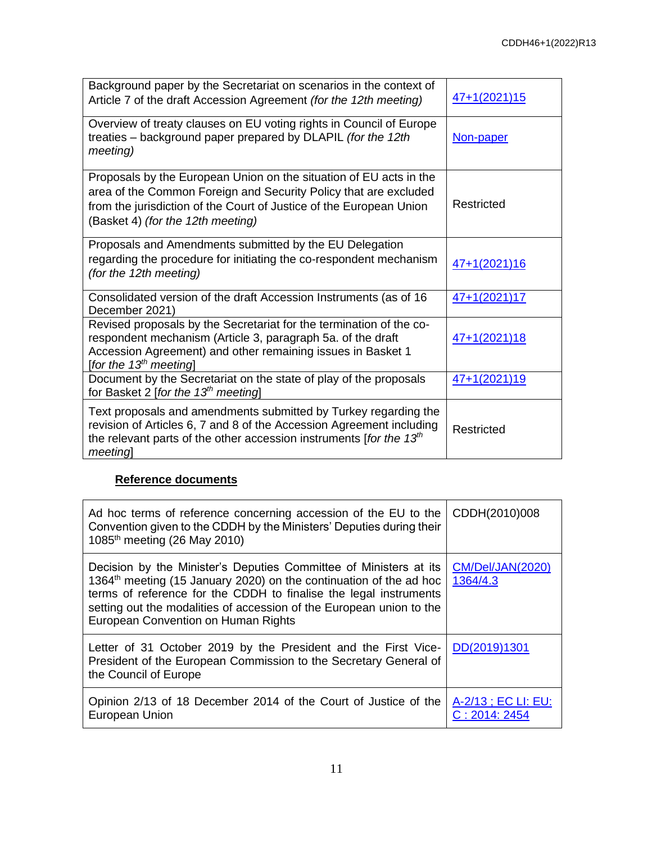| Background paper by the Secretariat on scenarios in the context of<br>Article 7 of the draft Accession Agreement (for the 12th meeting)                                                                                                            | 47+1(2021)15      |
|----------------------------------------------------------------------------------------------------------------------------------------------------------------------------------------------------------------------------------------------------|-------------------|
| Overview of treaty clauses on EU voting rights in Council of Europe<br>treaties - background paper prepared by DLAPIL (for the 12th<br>meeting)                                                                                                    | Non-paper         |
| Proposals by the European Union on the situation of EU acts in the<br>area of the Common Foreign and Security Policy that are excluded<br>from the jurisdiction of the Court of Justice of the European Union<br>(Basket 4) (for the 12th meeting) | <b>Restricted</b> |
| Proposals and Amendments submitted by the EU Delegation<br>regarding the procedure for initiating the co-respondent mechanism<br>(for the 12th meeting)                                                                                            | 47+1(2021)16      |
| Consolidated version of the draft Accession Instruments (as of 16<br>December 2021)                                                                                                                                                                | 47+1(2021)17      |
| Revised proposals by the Secretariat for the termination of the co-<br>respondent mechanism (Article 3, paragraph 5a. of the draft<br>Accession Agreement) and other remaining issues in Basket 1<br>[for the 13 <sup>th</sup> meeting]            | 47+1(2021)18      |
| Document by the Secretariat on the state of play of the proposals<br>for Basket 2 [for the $13th$ meeting]                                                                                                                                         | 47+1(2021)19      |
| Text proposals and amendments submitted by Turkey regarding the<br>revision of Articles 6, 7 and 8 of the Accession Agreement including<br>the relevant parts of the other accession instruments [for the $13th$<br>meeting                        | <b>Restricted</b> |

# **Reference documents**

| Ad hoc terms of reference concerning accession of the EU to the<br>Convention given to the CDDH by the Ministers' Deputies during their<br>1085 <sup>th</sup> meeting (26 May 2010)                                                                                                                                                     | CDDH(2010)008                        |
|-----------------------------------------------------------------------------------------------------------------------------------------------------------------------------------------------------------------------------------------------------------------------------------------------------------------------------------------|--------------------------------------|
| Decision by the Minister's Deputies Committee of Ministers at its<br>1364 <sup>th</sup> meeting (15 January 2020) on the continuation of the ad hoc<br>terms of reference for the CDDH to finalise the legal instruments<br>setting out the modalities of accession of the European union to the<br>European Convention on Human Rights | <b>CM/Del/JAN(2020)</b><br>1364/4.3  |
| Letter of 31 October 2019 by the President and the First Vice-<br>President of the European Commission to the Secretary General of<br>the Council of Europe                                                                                                                                                                             | DD(2019)1301                         |
| Opinion 2/13 of 18 December 2014 of the Court of Justice of the<br><b>European Union</b>                                                                                                                                                                                                                                                | A-2/13 ; EC LI: EU:<br>C: 2014: 2454 |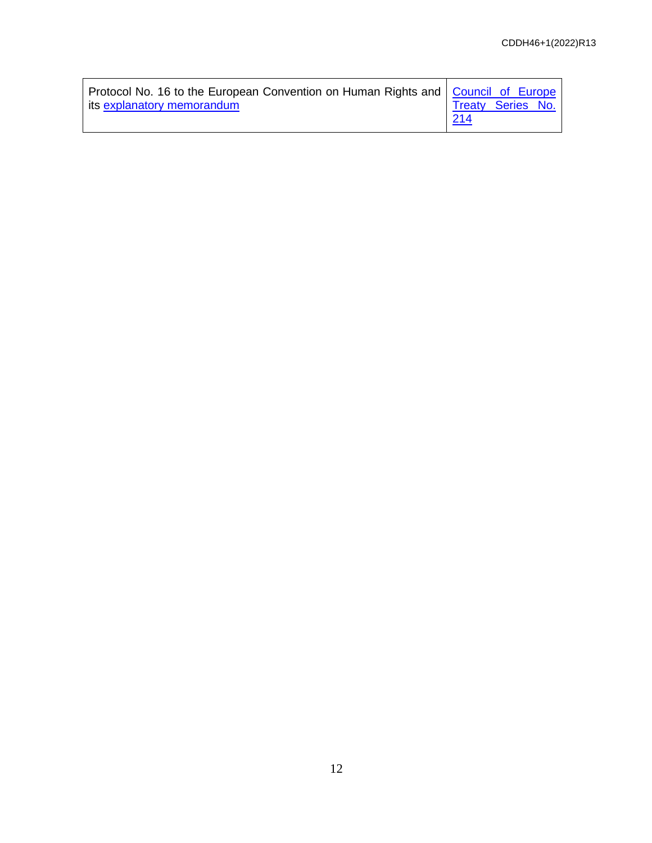| Protocol No. 16 to the European Convention on Human Rights and   Council of Europe |                                 |  |
|------------------------------------------------------------------------------------|---------------------------------|--|
| its explanatory memorandum                                                         | Treaty Series No.<br><u>214</u> |  |
|                                                                                    |                                 |  |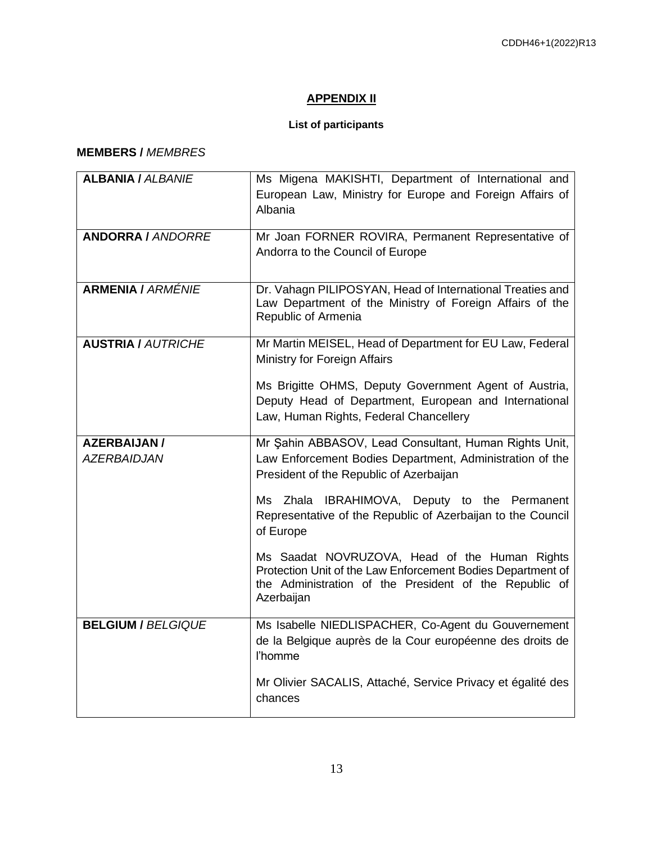# **APPENDIX II**

# **List of participants**

# **MEMBERS /** *MEMBRES*

| <b>ALBANIA / ALBANIE</b>  | Ms Migena MAKISHTI, Department of International and         |
|---------------------------|-------------------------------------------------------------|
|                           | European Law, Ministry for Europe and Foreign Affairs of    |
|                           | Albania                                                     |
|                           |                                                             |
| <b>ANDORRA / ANDORRE</b>  | Mr Joan FORNER ROVIRA, Permanent Representative of          |
|                           | Andorra to the Council of Europe                            |
|                           |                                                             |
| <b>ARMENIA / ARMÉNIE</b>  | Dr. Vahagn PILIPOSYAN, Head of International Treaties and   |
|                           | Law Department of the Ministry of Foreign Affairs of the    |
|                           | Republic of Armenia                                         |
|                           |                                                             |
| <b>AUSTRIA / AUTRICHE</b> | Mr Martin MEISEL, Head of Department for EU Law, Federal    |
|                           | Ministry for Foreign Affairs                                |
|                           |                                                             |
|                           | Ms Brigitte OHMS, Deputy Government Agent of Austria,       |
|                           | Deputy Head of Department, European and International       |
|                           | Law, Human Rights, Federal Chancellery                      |
| <b>AZERBAIJAN /</b>       | Mr Şahin ABBASOV, Lead Consultant, Human Rights Unit,       |
|                           |                                                             |
| <b>AZERBAIDJAN</b>        | Law Enforcement Bodies Department, Administration of the    |
|                           | President of the Republic of Azerbaijan                     |
|                           | Ms Zhala IBRAHIMOVA, Deputy to the Permanent                |
|                           | Representative of the Republic of Azerbaijan to the Council |
|                           | of Europe                                                   |
|                           |                                                             |
|                           | Ms Saadat NOVRUZOVA, Head of the Human Rights               |
|                           | Protection Unit of the Law Enforcement Bodies Department of |
|                           | the Administration of the President of the Republic of      |
|                           | Azerbaijan                                                  |
|                           |                                                             |
| <b>BELGIUM / BELGIQUE</b> | Ms Isabelle NIEDLISPACHER, Co-Agent du Gouvernement         |
|                           | de la Belgique auprès de la Cour européenne des droits de   |
|                           | l'homme                                                     |
|                           | Mr Olivier SACALIS, Attaché, Service Privacy et égalité des |
|                           | chances                                                     |
|                           |                                                             |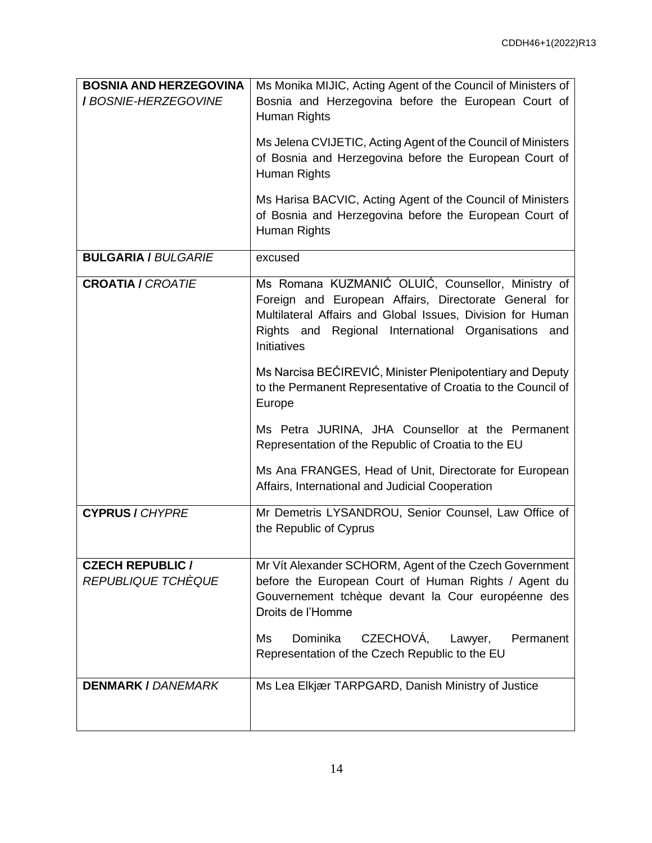| <b>BOSNIA AND HERZEGOVINA</b><br><b>I BOSNIE-HERZEGOVINE</b> | Ms Monika MIJIC, Acting Agent of the Council of Ministers of<br>Bosnia and Herzegovina before the European Court of<br>Human Rights                                                                                                               |
|--------------------------------------------------------------|---------------------------------------------------------------------------------------------------------------------------------------------------------------------------------------------------------------------------------------------------|
|                                                              | Ms Jelena CVIJETIC, Acting Agent of the Council of Ministers<br>of Bosnia and Herzegovina before the European Court of<br>Human Rights                                                                                                            |
|                                                              | Ms Harisa BACVIC, Acting Agent of the Council of Ministers<br>of Bosnia and Herzegovina before the European Court of<br>Human Rights                                                                                                              |
| <b>BULGARIA / BULGARIE</b>                                   | excused                                                                                                                                                                                                                                           |
| <b>CROATIA / CROATIE</b>                                     | Ms Romana KUZMANIĆ OLUIĆ, Counsellor, Ministry of<br>Foreign and European Affairs, Directorate General for<br>Multilateral Affairs and Global Issues, Division for Human<br>Rights and Regional International Organisations<br>and<br>Initiatives |
|                                                              | Ms Narcisa BEĆIREVIĆ, Minister Plenipotentiary and Deputy<br>to the Permanent Representative of Croatia to the Council of<br>Europe                                                                                                               |
|                                                              | Ms Petra JURINA, JHA Counsellor at the Permanent<br>Representation of the Republic of Croatia to the EU                                                                                                                                           |
|                                                              | Ms Ana FRANGES, Head of Unit, Directorate for European<br>Affairs, International and Judicial Cooperation                                                                                                                                         |
| <b>CYPRUS / CHYPRE</b>                                       | Mr Demetris LYSANDROU, Senior Counsel, Law Office of<br>the Republic of Cyprus                                                                                                                                                                    |
| <b>CZECH REPUBLIC /</b><br>REPUBLIQUE TCHÈQUE                | Mr Vít Alexander SCHORM, Agent of the Czech Government<br>before the European Court of Human Rights / Agent du<br>Gouvernement tchèque devant la Cour européenne des<br>Droits de l'Homme                                                         |
|                                                              | CZECHOVÁ,<br>Dominika<br>Ms<br>Permanent<br>Lawyer,<br>Representation of the Czech Republic to the EU                                                                                                                                             |
| <b>DENMARK / DANEMARK</b>                                    | Ms Lea Elkjær TARPGARD, Danish Ministry of Justice                                                                                                                                                                                                |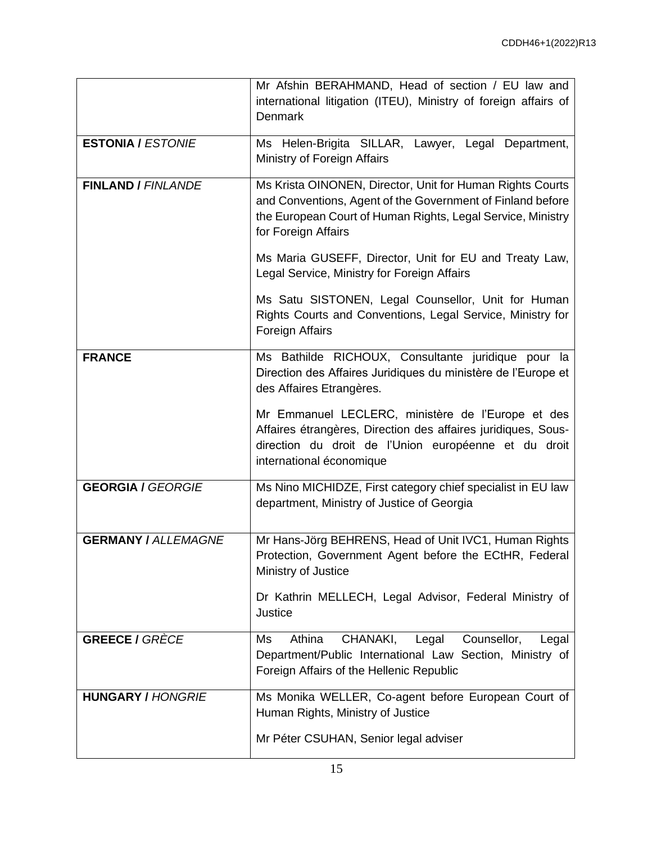|                            | Mr Afshin BERAHMAND, Head of section / EU law and<br>international litigation (ITEU), Ministry of foreign affairs of                                                                                          |
|----------------------------|---------------------------------------------------------------------------------------------------------------------------------------------------------------------------------------------------------------|
|                            | Denmark                                                                                                                                                                                                       |
| <b>ESTONIA / ESTONIE</b>   | Ms Helen-Brigita SILLAR, Lawyer, Legal<br>Department,<br>Ministry of Foreign Affairs                                                                                                                          |
| <b>FINLAND / FINLANDE</b>  | Ms Krista OINONEN, Director, Unit for Human Rights Courts<br>and Conventions, Agent of the Government of Finland before<br>the European Court of Human Rights, Legal Service, Ministry<br>for Foreign Affairs |
|                            | Ms Maria GUSEFF, Director, Unit for EU and Treaty Law,<br>Legal Service, Ministry for Foreign Affairs                                                                                                         |
|                            | Ms Satu SISTONEN, Legal Counsellor, Unit for Human<br>Rights Courts and Conventions, Legal Service, Ministry for<br>Foreign Affairs                                                                           |
| <b>FRANCE</b>              | Ms Bathilde RICHOUX, Consultante juridique pour la<br>Direction des Affaires Juridiques du ministère de l'Europe et<br>des Affaires Etrangères.                                                               |
|                            | Mr Emmanuel LECLERC, ministère de l'Europe et des<br>Affaires étrangères, Direction des affaires juridiques, Sous-<br>direction du droit de l'Union européenne et du droit<br>international économique        |
| <b>GEORGIA / GEORGIE</b>   | Ms Nino MICHIDZE, First category chief specialist in EU law<br>department, Ministry of Justice of Georgia                                                                                                     |
| <b>GERMANY / ALLEMAGNE</b> | Mr Hans-Jörg BEHRENS, Head of Unit IVC1, Human Rights<br>Protection, Government Agent before the ECtHR, Federal<br>Ministry of Justice                                                                        |
|                            | Dr Kathrin MELLECH, Legal Advisor, Federal Ministry of<br>Justice                                                                                                                                             |
| <b>GREECE / GRÈCE</b>      | Athina<br>CHANAKI,<br>Counsellor,<br>Ms<br>Legal<br>Legal<br>Department/Public International Law Section, Ministry of<br>Foreign Affairs of the Hellenic Republic                                             |
| <b>HUNGARY / HONGRIE</b>   | Ms Monika WELLER, Co-agent before European Court of<br>Human Rights, Ministry of Justice                                                                                                                      |
|                            | Mr Péter CSUHAN, Senior legal adviser                                                                                                                                                                         |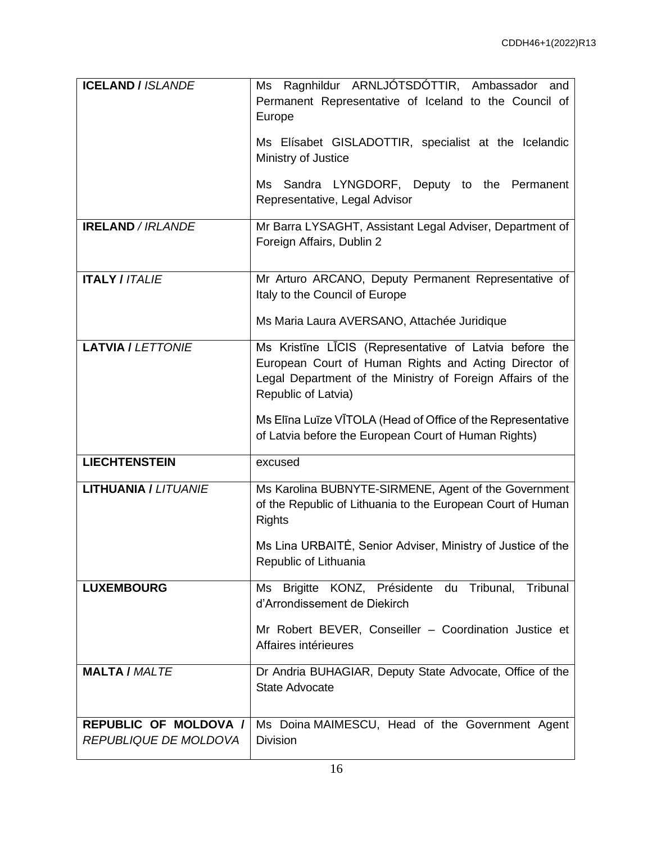| <b>ICELAND / ISLANDE</b>    | Ms Ragnhildur ARNLJÓTSDÓTTIR, Ambassador and<br>Permanent Representative of Iceland to the Council of<br>Europe                                                                                      |
|-----------------------------|------------------------------------------------------------------------------------------------------------------------------------------------------------------------------------------------------|
|                             | Ms Elísabet GISLADOTTIR, specialist at the Icelandic<br>Ministry of Justice                                                                                                                          |
|                             | Ms Sandra LYNGDORF, Deputy to the Permanent<br>Representative, Legal Advisor                                                                                                                         |
| <b>IRELAND / IRLANDE</b>    | Mr Barra LYSAGHT, Assistant Legal Adviser, Department of<br>Foreign Affairs, Dublin 2                                                                                                                |
| <b>ITALY / ITALIE</b>       | Mr Arturo ARCANO, Deputy Permanent Representative of<br>Italy to the Council of Europe                                                                                                               |
|                             | Ms Maria Laura AVERSANO, Attachée Juridique                                                                                                                                                          |
| <b>LATVIA / LETTONIE</b>    | Ms Kristine LICIS (Representative of Latvia before the<br>European Court of Human Rights and Acting Director of<br>Legal Department of the Ministry of Foreign Affairs of the<br>Republic of Latvia) |
|                             | Ms Elina Luize VITOLA (Head of Office of the Representative<br>of Latvia before the European Court of Human Rights)                                                                                  |
| <b>LIECHTENSTEIN</b>        | excused                                                                                                                                                                                              |
| <b>LITHUANIA / LITUANIE</b> | Ms Karolina BUBNYTE-SIRMENE, Agent of the Government<br>of the Republic of Lithuania to the European Court of Human<br><b>Rights</b>                                                                 |
|                             | Ms Lina URBAITE, Senior Adviser, Ministry of Justice of the<br>Republic of Lithuania                                                                                                                 |
| <b>LUXEMBOURG</b>           | Brigitte KONZ, Présidente du Tribunal, Tribunal<br>Ms<br>d'Arrondissement de Diekirch                                                                                                                |
|                             | Mr Robert BEVER, Conseiller - Coordination Justice et<br>Affaires intérieures                                                                                                                        |
| <b>MALTA / MALTE</b>        | Dr Andria BUHAGIAR, Deputy State Advocate, Office of the<br><b>State Advocate</b>                                                                                                                    |
| REPUBLIC OF MOLDOVA /       | Ms Doina MAIMESCU, Head of the Government Agent                                                                                                                                                      |
| REPUBLIQUE DE MOLDOVA       | <b>Division</b>                                                                                                                                                                                      |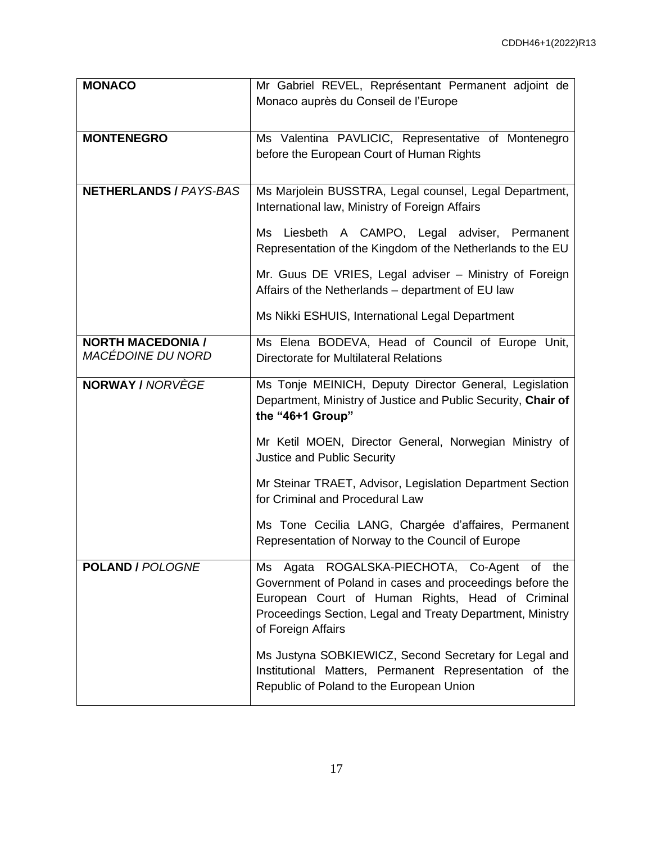| <b>MONACO</b>                 | Mr Gabriel REVEL, Représentant Permanent adjoint de                                   |
|-------------------------------|---------------------------------------------------------------------------------------|
|                               | Monaco auprès du Conseil de l'Europe                                                  |
|                               |                                                                                       |
|                               |                                                                                       |
| <b>MONTENEGRO</b>             | Ms Valentina PAVLICIC, Representative of Montenegro                                   |
|                               | before the European Court of Human Rights                                             |
|                               |                                                                                       |
| <b>NETHERLANDS / PAYS-BAS</b> | Ms Marjolein BUSSTRA, Legal counsel, Legal Department,                                |
|                               | International law, Ministry of Foreign Affairs                                        |
|                               | Ms Liesbeth A CAMPO, Legal adviser, Permanent                                         |
|                               | Representation of the Kingdom of the Netherlands to the EU                            |
|                               |                                                                                       |
|                               | Mr. Guus DE VRIES, Legal adviser - Ministry of Foreign                                |
|                               | Affairs of the Netherlands - department of EU law                                     |
|                               |                                                                                       |
|                               | Ms Nikki ESHUIS, International Legal Department                                       |
| <b>NORTH MACEDONIA /</b>      | Ms Elena BODEVA, Head of Council of Europe Unit,                                      |
| MACÉDOINE DU NORD             | <b>Directorate for Multilateral Relations</b>                                         |
|                               |                                                                                       |
| <b>NORWAY / NORVEGE</b>       | Ms Tonje MEINICH, Deputy Director General, Legislation                                |
|                               | Department, Ministry of Justice and Public Security, Chair of                         |
|                               | the "46+1 Group"                                                                      |
|                               |                                                                                       |
|                               | Mr Ketil MOEN, Director General, Norwegian Ministry of<br>Justice and Public Security |
|                               |                                                                                       |
|                               | Mr Steinar TRAET, Advisor, Legislation Department Section                             |
|                               | for Criminal and Procedural Law                                                       |
|                               | Ms Tone Cecilia LANG, Chargée d'affaires, Permanent                                   |
|                               | Representation of Norway to the Council of Europe                                     |
|                               |                                                                                       |
| <b>POLAND / POLOGNE</b>       | Ms Agata ROGALSKA-PIECHOTA, Co-Agent of the                                           |
|                               | Government of Poland in cases and proceedings before the                              |
|                               | European Court of Human Rights, Head of Criminal                                      |
|                               | Proceedings Section, Legal and Treaty Department, Ministry                            |
|                               | of Foreign Affairs                                                                    |
|                               |                                                                                       |
|                               | Ms Justyna SOBKIEWICZ, Second Secretary for Legal and                                 |
|                               | Institutional Matters, Permanent Representation of the                                |
|                               | Republic of Poland to the European Union                                              |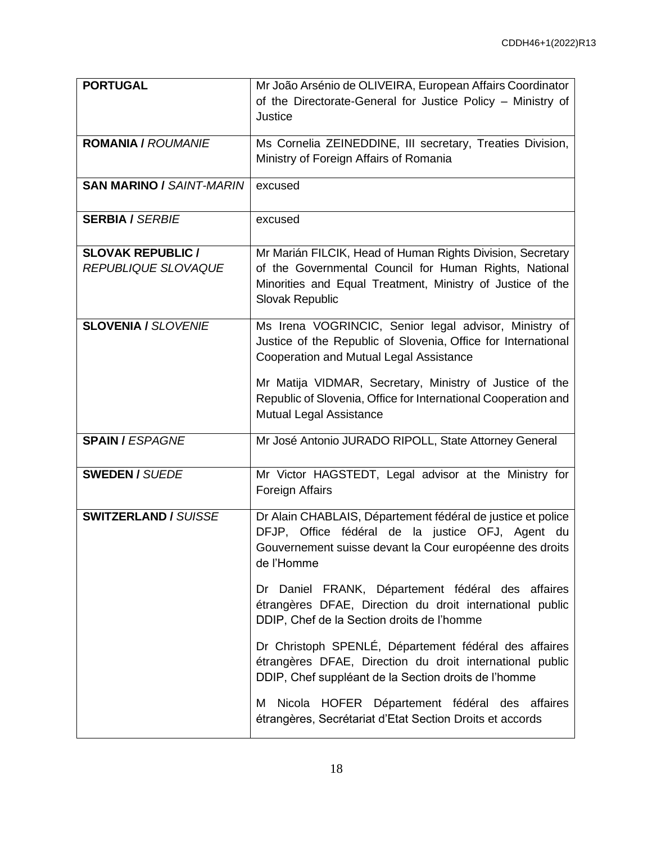| <b>PORTUGAL</b>                 | Mr João Arsénio de OLIVEIRA, European Affairs Coordinator                                                              |
|---------------------------------|------------------------------------------------------------------------------------------------------------------------|
|                                 | of the Directorate-General for Justice Policy - Ministry of                                                            |
|                                 | Justice                                                                                                                |
| <b>ROMANIA / ROUMANIE</b>       |                                                                                                                        |
|                                 | Ms Cornelia ZEINEDDINE, III secretary, Treaties Division,<br>Ministry of Foreign Affairs of Romania                    |
|                                 |                                                                                                                        |
| <b>SAN MARINO / SAINT-MARIN</b> | excused                                                                                                                |
|                                 |                                                                                                                        |
| <b>SERBIA / SERBIE</b>          | excused                                                                                                                |
|                                 |                                                                                                                        |
| <b>SLOVAK REPUBLIC /</b>        | Mr Marián FILCIK, Head of Human Rights Division, Secretary                                                             |
| REPUBLIQUE SLOVAQUE             | of the Governmental Council for Human Rights, National                                                                 |
|                                 | Minorities and Equal Treatment, Ministry of Justice of the                                                             |
|                                 | Slovak Republic                                                                                                        |
|                                 |                                                                                                                        |
| <b>SLOVENIA / SLOVENIE</b>      | Ms Irena VOGRINCIC, Senior legal advisor, Ministry of<br>Justice of the Republic of Slovenia, Office for International |
|                                 | Cooperation and Mutual Legal Assistance                                                                                |
|                                 |                                                                                                                        |
|                                 | Mr Matija VIDMAR, Secretary, Ministry of Justice of the                                                                |
|                                 | Republic of Slovenia, Office for International Cooperation and                                                         |
|                                 | Mutual Legal Assistance                                                                                                |
| <b>SPAIN / ESPAGNE</b>          | Mr José Antonio JURADO RIPOLL, State Attorney General                                                                  |
|                                 |                                                                                                                        |
| <b>SWEDEN / SUEDE</b>           | Mr Victor HAGSTEDT, Legal advisor at the Ministry for                                                                  |
|                                 | Foreign Affairs                                                                                                        |
|                                 |                                                                                                                        |
| <b>SWITZERLAND / SUISSE</b>     | Dr Alain CHABLAIS, Département fédéral de justice et police                                                            |
|                                 | DFJP, Office fédéral de la justice OFJ, Agent du                                                                       |
|                                 | Gouvernement suisse devant la Cour européenne des droits                                                               |
|                                 | de l'Homme                                                                                                             |
|                                 | Dr Daniel FRANK, Département fédéral des affaires                                                                      |
|                                 | étrangères DFAE, Direction du droit international public                                                               |
|                                 | DDIP, Chef de la Section droits de l'homme                                                                             |
|                                 |                                                                                                                        |
|                                 | Dr Christoph SPENLÉ, Département fédéral des affaires                                                                  |
|                                 | étrangères DFAE, Direction du droit international public                                                               |
|                                 | DDIP, Chef suppléant de la Section droits de l'homme                                                                   |
|                                 | Nicola HOFER Département fédéral des affaires<br>м                                                                     |
|                                 | étrangères, Secrétariat d'Etat Section Droits et accords                                                               |
|                                 |                                                                                                                        |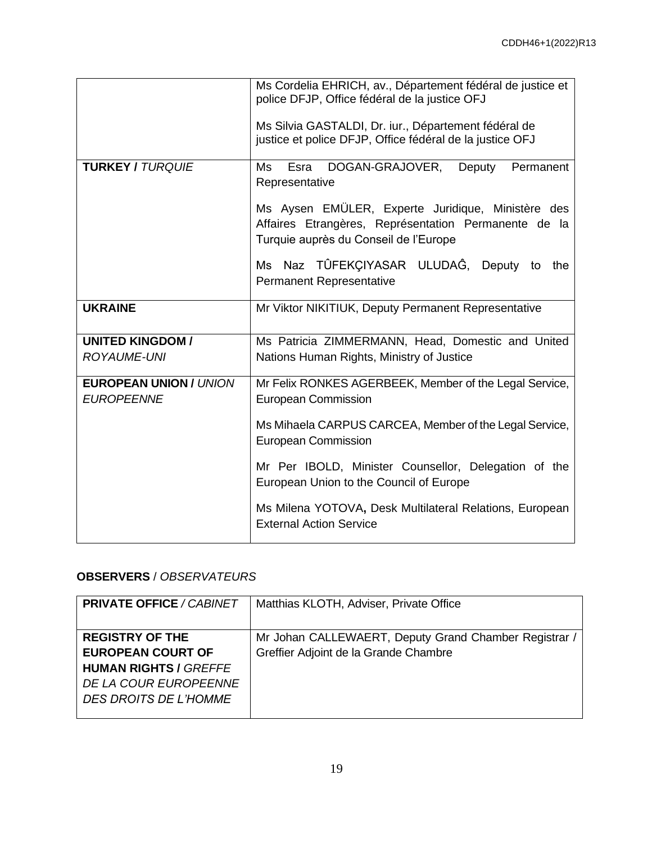|                                                    | Ms Cordelia EHRICH, av., Département fédéral de justice et<br>police DFJP, Office fédéral de la justice OFJ<br>Ms Silvia GASTALDI, Dr. iur., Département fédéral de |
|----------------------------------------------------|---------------------------------------------------------------------------------------------------------------------------------------------------------------------|
|                                                    | justice et police DFJP, Office fédéral de la justice OFJ                                                                                                            |
| <b>TURKEY / TURQUIE</b>                            | DOGAN-GRAJOVER,<br>Ms<br>Esra<br>Deputy<br>Permanent<br>Representative                                                                                              |
|                                                    | Ms Aysen EMÜLER, Experte Juridique, Ministère des<br>Affaires Etrangères, Représentation Permanente de la<br>Turquie auprès du Conseil de l'Europe                  |
|                                                    | Ms Naz TÛFEKÇIYASAR ULUDAĜ, Deputy<br>to the<br><b>Permanent Representative</b>                                                                                     |
| <b>UKRAINE</b>                                     | Mr Viktor NIKITIUK, Deputy Permanent Representative                                                                                                                 |
| <b>UNITED KINGDOM /</b><br><b>ROYAUME-UNI</b>      | Ms Patricia ZIMMERMANN, Head, Domestic and United<br>Nations Human Rights, Ministry of Justice                                                                      |
| <b>EUROPEAN UNION / UNION</b><br><b>EUROPEENNE</b> | Mr Felix RONKES AGERBEEK, Member of the Legal Service,<br><b>European Commission</b>                                                                                |
|                                                    | Ms Mihaela CARPUS CARCEA, Member of the Legal Service,<br><b>European Commission</b>                                                                                |
|                                                    | Mr Per IBOLD, Minister Counsellor, Delegation of the<br>European Union to the Council of Europe                                                                     |
|                                                    | Ms Milena YOTOVA, Desk Multilateral Relations, European<br><b>External Action Service</b>                                                                           |

# **OBSERVERS** / *OBSERVATEURS*

| <b>PRIVATE OFFICE / CABINET</b>                                                                                                             | Matthias KLOTH, Adviser, Private Office                                                        |
|---------------------------------------------------------------------------------------------------------------------------------------------|------------------------------------------------------------------------------------------------|
| <b>REGISTRY OF THE</b><br><b>EUROPEAN COURT OF</b><br><b>HUMAN RIGHTS / GREFFE</b><br>DE LA COUR EUROPEENNE<br><b>DES DROITS DE L'HOMME</b> | Mr Johan CALLEWAERT, Deputy Grand Chamber Registrar /<br>Greffier Adjoint de la Grande Chambre |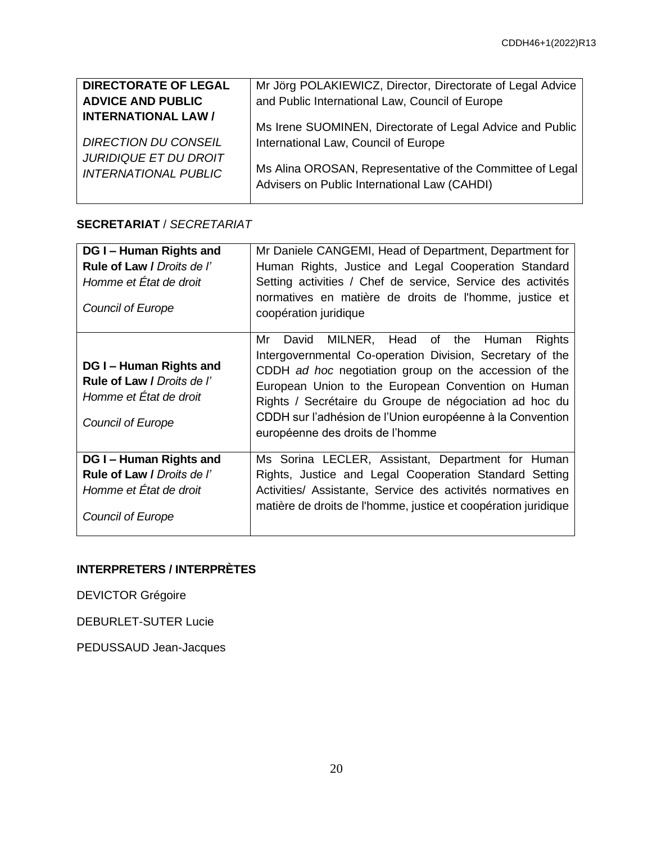| <b>DIRECTORATE OF LEGAL</b>                                                                                              | Mr Jörg POLAKIEWICZ, Director, Directorate of Legal Advice                                                                                                                                                     |
|--------------------------------------------------------------------------------------------------------------------------|----------------------------------------------------------------------------------------------------------------------------------------------------------------------------------------------------------------|
| <b>ADVICE AND PUBLIC</b>                                                                                                 | and Public International Law, Council of Europe                                                                                                                                                                |
| <b>INTERNATIONAL LAW /</b><br><b>DIRECTION DU CONSEIL</b><br><b>JURIDIQUE ET DU DROIT</b><br><b>INTERNATIONAL PUBLIC</b> | Ms Irene SUOMINEN, Directorate of Legal Advice and Public<br>International Law, Council of Europe<br>Ms Alina OROSAN, Representative of the Committee of Legal<br>Advisers on Public International Law (CAHDI) |

# **SECRETARIAT** / *SECRETARIAT*

| DG I - Human Rights and                                                                              | Mr Daniele CANGEMI, Head of Department, Department for                                                                                                                                                                                                                                                                              |
|------------------------------------------------------------------------------------------------------|-------------------------------------------------------------------------------------------------------------------------------------------------------------------------------------------------------------------------------------------------------------------------------------------------------------------------------------|
| <b>Rule of Law / Droits de l'</b>                                                                    | Human Rights, Justice and Legal Cooperation Standard                                                                                                                                                                                                                                                                                |
| Homme et État de droit                                                                               | Setting activities / Chef de service, Service des activités                                                                                                                                                                                                                                                                         |
| <b>Council of Europe</b>                                                                             | normatives en matière de droits de l'homme, justice et<br>coopération juridique                                                                                                                                                                                                                                                     |
|                                                                                                      | MILNER, Head of the Human<br><b>Rights</b><br>Mr<br>David                                                                                                                                                                                                                                                                           |
| DG I - Human Rights and<br>Rule of Law / Droits de l'<br>Homme et État de droit<br>Council of Europe | Intergovernmental Co-operation Division, Secretary of the<br>CDDH ad hoc negotiation group on the accession of the<br>European Union to the European Convention on Human<br>Rights / Secrétaire du Groupe de négociation ad hoc du<br>CDDH sur l'adhésion de l'Union européenne à la Convention<br>européenne des droits de l'homme |
| DG I - Human Rights and                                                                              | Ms Sorina LECLER, Assistant, Department for Human                                                                                                                                                                                                                                                                                   |
| <b>Rule of Law / Droits de l'</b>                                                                    | Rights, Justice and Legal Cooperation Standard Setting                                                                                                                                                                                                                                                                              |
| Homme et État de droit                                                                               | Activities/ Assistante, Service des activités normatives en                                                                                                                                                                                                                                                                         |
| Council of Europe                                                                                    | matière de droits de l'homme, justice et coopération juridique                                                                                                                                                                                                                                                                      |

# **INTERPRETERS / INTERPRÈTES**

DEVICTOR Grégoire

DEBURLET-SUTER Lucie

PEDUSSAUD Jean-Jacques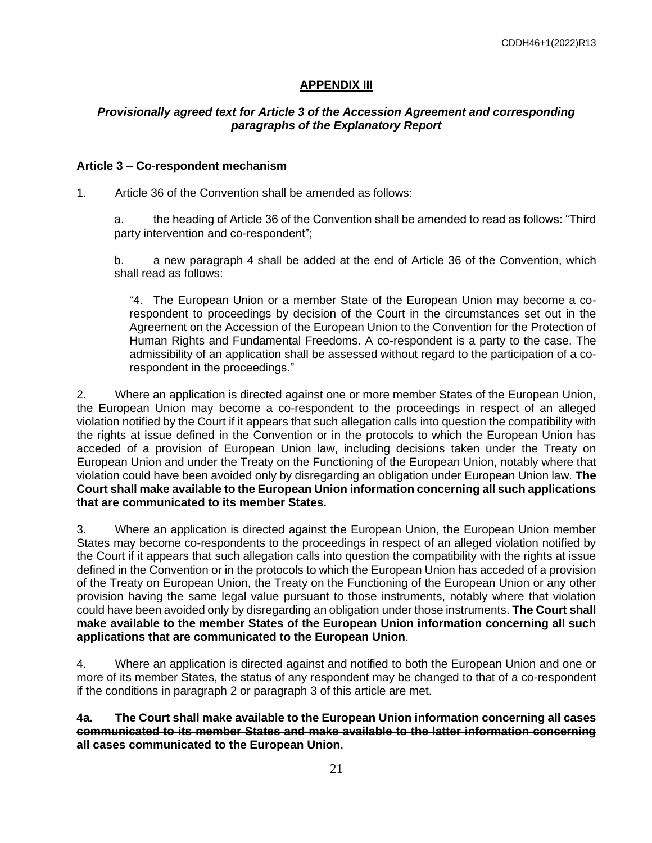## **APPENDIX III**

## *Provisionally agreed text for Article 3 of the Accession Agreement and corresponding paragraphs of the Explanatory Report*

## **Article 3 – Co-respondent mechanism**

1. Article 36 of the Convention shall be amended as follows:

a. the heading of Article 36 of the Convention shall be amended to read as follows: "Third party intervention and co-respondent";

b. a new paragraph 4 shall be added at the end of Article 36 of the Convention, which shall read as follows:

"4. The European Union or a member State of the European Union may become a corespondent to proceedings by decision of the Court in the circumstances set out in the Agreement on the Accession of the European Union to the Convention for the Protection of Human Rights and Fundamental Freedoms. A co-respondent is a party to the case. The admissibility of an application shall be assessed without regard to the participation of a corespondent in the proceedings."

2. Where an application is directed against one or more member States of the European Union, the European Union may become a co-respondent to the proceedings in respect of an alleged violation notified by the Court if it appears that such allegation calls into question the compatibility with the rights at issue defined in the Convention or in the protocols to which the European Union has acceded of a provision of European Union law, including decisions taken under the Treaty on European Union and under the Treaty on the Functioning of the European Union, notably where that violation could have been avoided only by disregarding an obligation under European Union law. **The Court shall make available to the European Union information concerning all such applications that are communicated to its member States.**

3. Where an application is directed against the European Union, the European Union member States may become co-respondents to the proceedings in respect of an alleged violation notified by the Court if it appears that such allegation calls into question the compatibility with the rights at issue defined in the Convention or in the protocols to which the European Union has acceded of a provision of the Treaty on European Union, the Treaty on the Functioning of the European Union or any other provision having the same legal value pursuant to those instruments, notably where that violation could have been avoided only by disregarding an obligation under those instruments. **The Court shall make available to the member States of the European Union information concerning all such applications that are communicated to the European Union**.

4. Where an application is directed against and notified to both the European Union and one or more of its member States, the status of any respondent may be changed to that of a co-respondent if the conditions in paragraph 2 or paragraph 3 of this article are met.

**4a. The Court shall make available to the European Union information concerning all cases communicated to its member States and make available to the latter information concerning all cases communicated to the European Union.**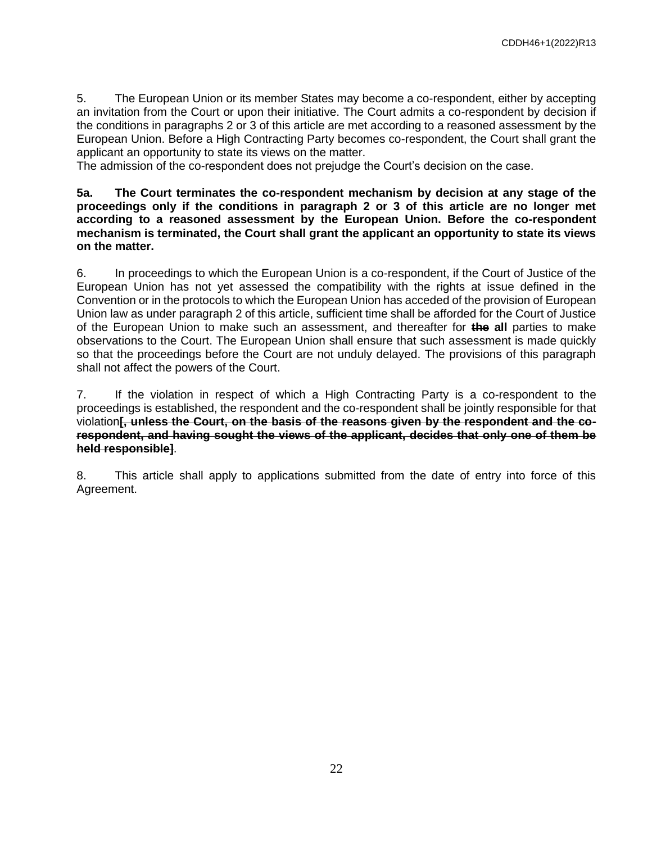5. The European Union or its member States may become a co-respondent, either by accepting an invitation from the Court or upon their initiative. The Court admits a co-respondent by decision if the conditions in paragraphs 2 or 3 of this article are met according to a reasoned assessment by the European Union. Before a High Contracting Party becomes co-respondent, the Court shall grant the applicant an opportunity to state its views on the matter.

The admission of the co-respondent does not prejudge the Court's decision on the case.

**5a. The Court terminates the co-respondent mechanism by decision at any stage of the proceedings only if the conditions in paragraph 2 or 3 of this article are no longer met according to a reasoned assessment by the European Union. Before the co-respondent mechanism is terminated, the Court shall grant the applicant an opportunity to state its views on the matter.**

6. In proceedings to which the European Union is a co-respondent, if the Court of Justice of the European Union has not yet assessed the compatibility with the rights at issue defined in the Convention or in the protocols to which the European Union has acceded of the provision of European Union law as under paragraph 2 of this article, sufficient time shall be afforded for the Court of Justice of the European Union to make such an assessment, and thereafter for **the all** parties to make observations to the Court. The European Union shall ensure that such assessment is made quickly so that the proceedings before the Court are not unduly delayed. The provisions of this paragraph shall not affect the powers of the Court.

7. If the violation in respect of which a High Contracting Party is a co-respondent to the proceedings is established, the respondent and the co-respondent shall be jointly responsible for that violation**[, unless the Court, on the basis of the reasons given by the respondent and the corespondent, and having sought the views of the applicant, decides that only one of them be held responsible]**.

8. This article shall apply to applications submitted from the date of entry into force of this Agreement.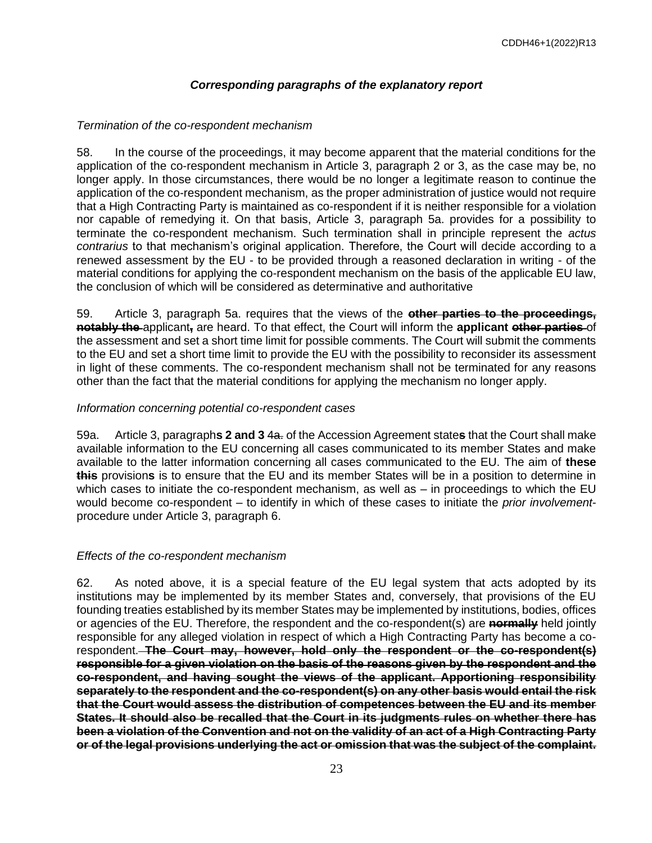## *Corresponding paragraphs of the explanatory report*

## *Termination of the co-respondent mechanism*

58. In the course of the proceedings, it may become apparent that the material conditions for the application of the co-respondent mechanism in Article 3, paragraph 2 or 3, as the case may be, no longer apply. In those circumstances, there would be no longer a legitimate reason to continue the application of the co-respondent mechanism, as the proper administration of justice would not require that a High Contracting Party is maintained as co-respondent if it is neither responsible for a violation nor capable of remedying it. On that basis, Article 3, paragraph 5a. provides for a possibility to terminate the co-respondent mechanism. Such termination shall in principle represent the *actus contrarius* to that mechanism's original application. Therefore, the Court will decide according to a renewed assessment by the EU - to be provided through a reasoned declaration in writing - of the material conditions for applying the co-respondent mechanism on the basis of the applicable EU law, the conclusion of which will be considered as determinative and authoritative

59. Article 3, paragraph 5a. requires that the views of the **other parties to the proceedings, notably the** applicant**,** are heard. To that effect, the Court will inform the **applicant other parties** of the assessment and set a short time limit for possible comments. The Court will submit the comments to the EU and set a short time limit to provide the EU with the possibility to reconsider its assessment in light of these comments. The co-respondent mechanism shall not be terminated for any reasons other than the fact that the material conditions for applying the mechanism no longer apply.

### *Information concerning potential co-respondent cases*

59a. Article 3, paragraph**s 2 and 3** 4a. of the Accession Agreement state**s** that the Court shall make available information to the EU concerning all cases communicated to its member States and make available to the latter information concerning all cases communicated to the EU. The aim of **these this** provision**s** is to ensure that the EU and its member States will be in a position to determine in which cases to initiate the co-respondent mechanism, as well as – in proceedings to which the EU would become co-respondent – to identify in which of these cases to initiate the *prior involvement*procedure under Article 3, paragraph 6.

#### *Effects of the co-respondent mechanism*

62. As noted above, it is a special feature of the EU legal system that acts adopted by its institutions may be implemented by its member States and, conversely, that provisions of the EU founding treaties established by its member States may be implemented by institutions, bodies, offices or agencies of the EU. Therefore, the respondent and the co-respondent(s) are **normally** held jointly responsible for any alleged violation in respect of which a High Contracting Party has become a corespondent. **The Court may, however, hold only the respondent or the co-respondent(s) responsible for a given violation on the basis of the reasons given by the respondent and the co-respondent, and having sought the views of the applicant. Apportioning responsibility separately to the respondent and the co-respondent(s) on any other basis would entail the risk that the Court would assess the distribution of competences between the EU and its member States. It should also be recalled that the Court in its judgments rules on whether there has been a violation of the Convention and not on the validity of an act of a High Contracting Party or of the legal provisions underlying the act or omission that was the subject of the complaint.**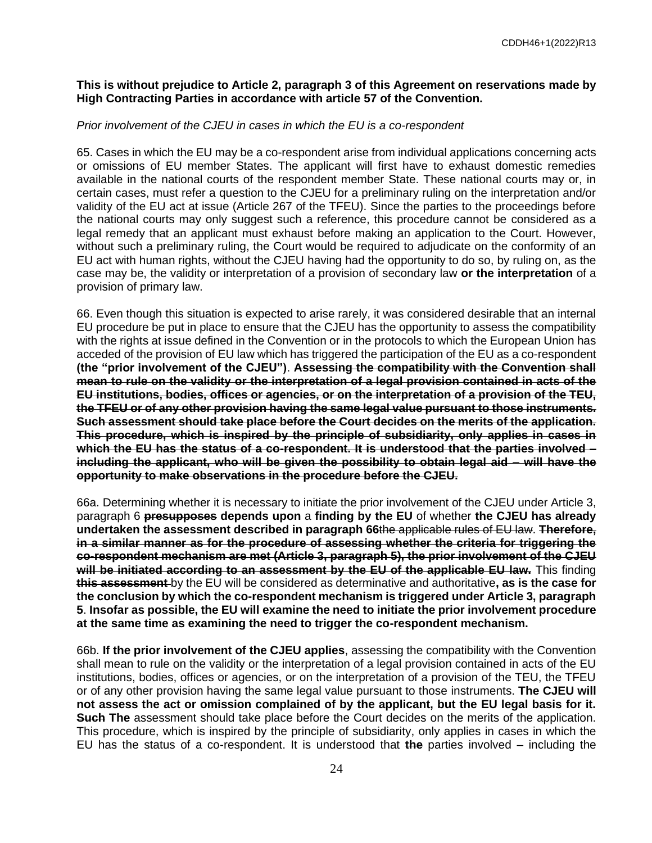### **This is without prejudice to Article 2, paragraph 3 of this Agreement on reservations made by High Contracting Parties in accordance with article 57 of the Convention.**

### *Prior involvement of the CJEU in cases in which the EU is a co-respondent*

65. Cases in which the EU may be a co-respondent arise from individual applications concerning acts or omissions of EU member States. The applicant will first have to exhaust domestic remedies available in the national courts of the respondent member State. These national courts may or, in certain cases, must refer a question to the CJEU for a preliminary ruling on the interpretation and/or validity of the EU act at issue (Article 267 of the TFEU). Since the parties to the proceedings before the national courts may only suggest such a reference, this procedure cannot be considered as a legal remedy that an applicant must exhaust before making an application to the Court. However, without such a preliminary ruling, the Court would be required to adjudicate on the conformity of an EU act with human rights, without the CJEU having had the opportunity to do so, by ruling on, as the case may be, the validity or interpretation of a provision of secondary law **or the interpretation** of a provision of primary law.

66. Even though this situation is expected to arise rarely, it was considered desirable that an internal EU procedure be put in place to ensure that the CJEU has the opportunity to assess the compatibility with the rights at issue defined in the Convention or in the protocols to which the European Union has acceded of the provision of EU law which has triggered the participation of the EU as a co-respondent **(the "prior involvement of the CJEU")**. **Assessing the compatibility with the Convention shall mean to rule on the validity or the interpretation of a legal provision contained in acts of the EU institutions, bodies, offices or agencies, or on the interpretation of a provision of the TEU, the TFEU or of any other provision having the same legal value pursuant to those instruments. Such assessment should take place before the Court decides on the merits of the application. This procedure, which is inspired by the principle of subsidiarity, only applies in cases in which the EU has the status of a co-respondent. It is understood that the parties involved – including the applicant, who will be given the possibility to obtain legal aid – will have the opportunity to make observations in the procedure before the CJEU.**

66a. Determining whether it is necessary to initiate the prior involvement of the CJEU under Article 3, paragraph 6 **presupposes depends upon** a **finding by the EU** of whether **the CJEU has already undertaken the assessment described in paragraph 66**the applicable rules of EU law. **Therefore, in a similar manner as for the procedure of assessing whether the criteria for triggering the co-respondent mechanism are met (Article 3, paragraph 5), the prior involvement of the CJEU will be initiated according to an assessment by the EU of the applicable EU law.** This finding **this assessment** by the EU will be considered as determinative and authoritative**, as is the case for the conclusion by which the co-respondent mechanism is triggered under Article 3, paragraph 5**. **Insofar as possible, the EU will examine the need to initiate the prior involvement procedure at the same time as examining the need to trigger the co-respondent mechanism.**

66b. **If the prior involvement of the CJEU applies**, assessing the compatibility with the Convention shall mean to rule on the validity or the interpretation of a legal provision contained in acts of the EU institutions, bodies, offices or agencies, or on the interpretation of a provision of the TEU, the TFEU or of any other provision having the same legal value pursuant to those instruments. **The CJEU will not assess the act or omission complained of by the applicant, but the EU legal basis for it. Such The** assessment should take place before the Court decides on the merits of the application. This procedure, which is inspired by the principle of subsidiarity, only applies in cases in which the EU has the status of a co-respondent. It is understood that **the** parties involved – including the